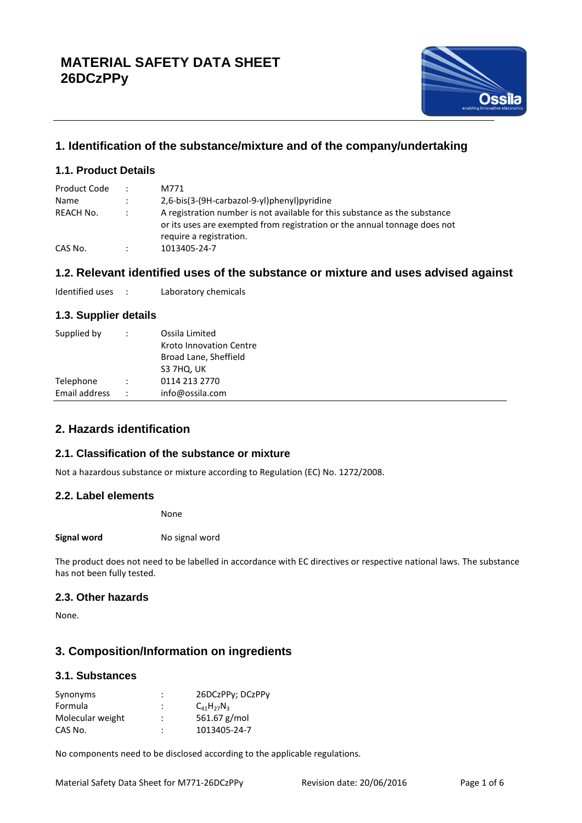

# **1. Identification of the substance/mixture and of the company/undertaking**

## **1.1. Product Details**

| Product Code | $\ddot{\phantom{0}}$ | M771                                                                                                                                                                               |  |  |
|--------------|----------------------|------------------------------------------------------------------------------------------------------------------------------------------------------------------------------------|--|--|
| Name         | $\ddot{\phantom{0}}$ | 2,6-bis(3-(9H-carbazol-9-yl)phenyl)pyridine                                                                                                                                        |  |  |
| REACH No.    | $\ddot{\phantom{a}}$ | A registration number is not available for this substance as the substance<br>or its uses are exempted from registration or the annual tonnage does not<br>require a registration. |  |  |
| CAS No.      | $\ddot{\phantom{a}}$ | 1013405-24-7                                                                                                                                                                       |  |  |

## **1.2. Relevant identified uses of the substance or mixture and uses advised against**

Identified uses : Laboratory chemicals

## **1.3. Supplier details**

| Supplied by   | $\ddot{\phantom{a}}$ | Ossila Limited<br>Kroto Innovation Centre<br>Broad Lane, Sheffield<br>S3 7HQ, UK |
|---------------|----------------------|----------------------------------------------------------------------------------|
| Telephone     | $\ddot{\phantom{a}}$ | 0114 213 2770                                                                    |
| Email address | $\ddot{\phantom{0}}$ | info@ossila.com                                                                  |

## **2. Hazards identification**

## **2.1. Classification of the substance or mixture**

Not a hazardous substance or mixture according to Regulation (EC) No. 1272/2008.

### **2.2. Label elements**

None

**Signal word** No signal word

The product does not need to be labelled in accordance with EC directives or respective national laws. The substance has not been fully tested.

## **2.3. Other hazards**

None.

## **3. Composition/Information on ingredients**

### **3.1. Substances**

| Synonyms         | ٠ | 26DCzPPy; DCzPPy    |
|------------------|---|---------------------|
| Formula          |   | $C_{41}H_{27}N_{3}$ |
| Molecular weight |   | 561.67 $g/mol$      |
| CAS No.          | ٠ | 1013405-24-7        |

No components need to be disclosed according to the applicable regulations.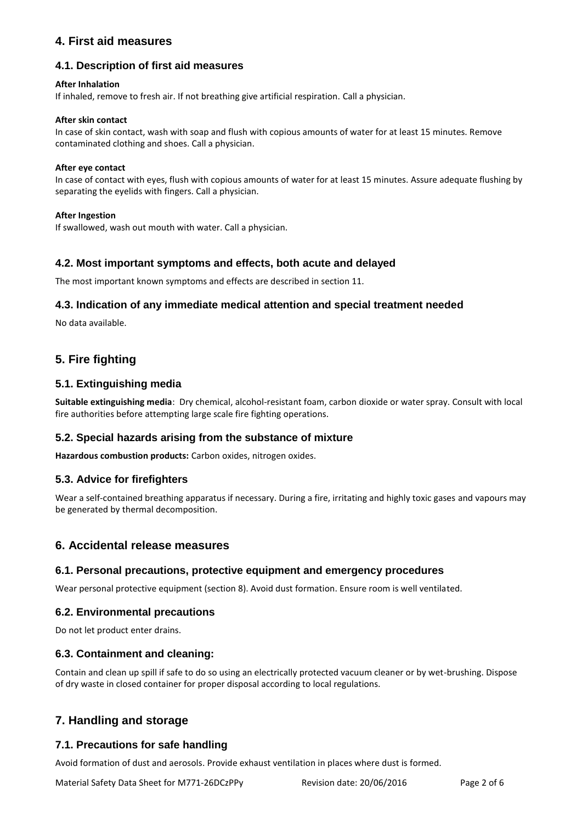## **4. First aid measures**

## **4.1. Description of first aid measures**

### **After Inhalation**

If inhaled, remove to fresh air. If not breathing give artificial respiration. Call a physician.

#### **After skin contact**

In case of skin contact, wash with soap and flush with copious amounts of water for at least 15 minutes. Remove contaminated clothing and shoes. Call a physician.

#### **After eye contact**

In case of contact with eyes, flush with copious amounts of water for at least 15 minutes. Assure adequate flushing by separating the eyelids with fingers. Call a physician.

#### **After Ingestion**

If swallowed, wash out mouth with water. Call a physician.

## **4.2. Most important symptoms and effects, both acute and delayed**

The most important known symptoms and effects are described in section 11.

## **4.3. Indication of any immediate medical attention and special treatment needed**

No data available.

## **5. Fire fighting**

## **5.1. Extinguishing media**

**Suitable extinguishing media**: Dry chemical, alcohol-resistant foam, carbon dioxide or water spray. Consult with local fire authorities before attempting large scale fire fighting operations.

### **5.2. Special hazards arising from the substance of mixture**

**Hazardous combustion products:** Carbon oxides, nitrogen oxides.

### **5.3. Advice for firefighters**

Wear a self-contained breathing apparatus if necessary. During a fire, irritating and highly toxic gases and vapours may be generated by thermal decomposition.

### **6. Accidental release measures**

### **6.1. Personal precautions, protective equipment and emergency procedures**

Wear personal protective equipment (section 8). Avoid dust formation. Ensure room is well ventilated.

## **6.2. Environmental precautions**

Do not let product enter drains.

## **6.3. Containment and cleaning:**

Contain and clean up spill if safe to do so using an electrically protected vacuum cleaner or by wet-brushing. Dispose of dry waste in closed container for proper disposal according to local regulations.

## **7. Handling and storage**

## **7.1. Precautions for safe handling**

Avoid formation of dust and aerosols. Provide exhaust ventilation in places where dust is formed.

Material Safety Data Sheet for M771-26DCzPPy Revision date: 20/06/2016 Page 2 of 6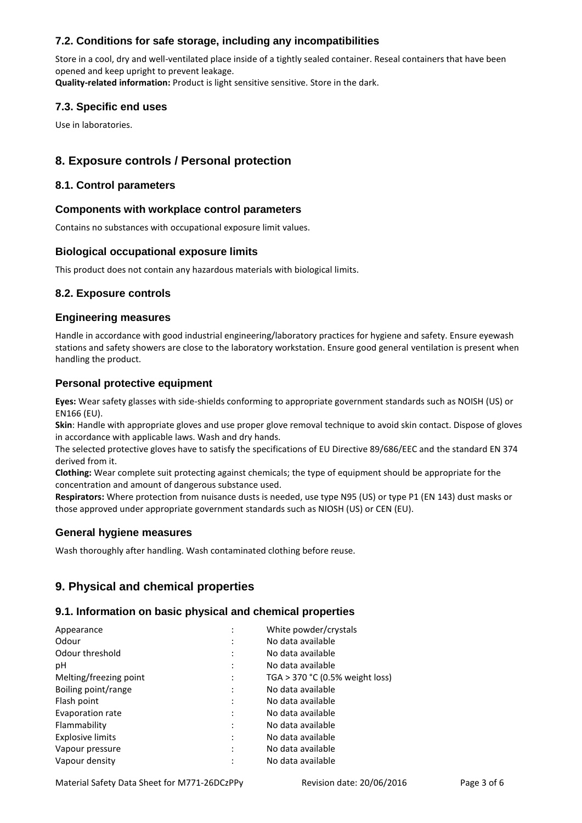## **7.2. Conditions for safe storage, including any incompatibilities**

Store in a cool, dry and well-ventilated place inside of a tightly sealed container. Reseal containers that have been opened and keep upright to prevent leakage.

**Quality-related information:** Product is light sensitive sensitive. Store in the dark.

### **7.3. Specific end uses**

Use in laboratories.

## **8. Exposure controls / Personal protection**

### **8.1. Control parameters**

### **Components with workplace control parameters**

Contains no substances with occupational exposure limit values.

### **Biological occupational exposure limits**

This product does not contain any hazardous materials with biological limits.

## **8.2. Exposure controls**

### **Engineering measures**

Handle in accordance with good industrial engineering/laboratory practices for hygiene and safety. Ensure eyewash stations and safety showers are close to the laboratory workstation. Ensure good general ventilation is present when handling the product.

## **Personal protective equipment**

**Eyes:** Wear safety glasses with side-shields conforming to appropriate government standards such as NOISH (US) or EN166 (EU).

**Skin**: Handle with appropriate gloves and use proper glove removal technique to avoid skin contact. Dispose of gloves in accordance with applicable laws. Wash and dry hands.

The selected protective gloves have to satisfy the specifications of EU Directive 89/686/EEC and the standard EN 374 derived from it.

**Clothing:** Wear complete suit protecting against chemicals; the type of equipment should be appropriate for the concentration and amount of dangerous substance used.

**Respirators:** Where protection from nuisance dusts is needed, use type N95 (US) or type P1 (EN 143) dust masks or those approved under appropriate government standards such as NIOSH (US) or CEN (EU).

### **General hygiene measures**

Wash thoroughly after handling. Wash contaminated clothing before reuse.

## **9. Physical and chemical properties**

### **9.1. Information on basic physical and chemical properties**

| Appearance              | $\cdot$                   | White powder/crystals           |
|-------------------------|---------------------------|---------------------------------|
| Odour                   |                           | No data available               |
| Odour threshold         | $\cdot$                   | No data available               |
| рH                      | $\lambda$                 | No data available               |
| Melting/freezing point  | ٠<br>$\ddot{\phantom{a}}$ | TGA > 370 °C (0.5% weight loss) |
| Boiling point/range     |                           | No data available               |
| Flash point             |                           | No data available               |
| Evaporation rate        | ٠                         | No data available               |
| Flammability            | ٠<br>$\cdot$              | No data available               |
| <b>Explosive limits</b> |                           | No data available               |
| Vapour pressure         |                           | No data available               |
| Vapour density          | ٠                         | No data available               |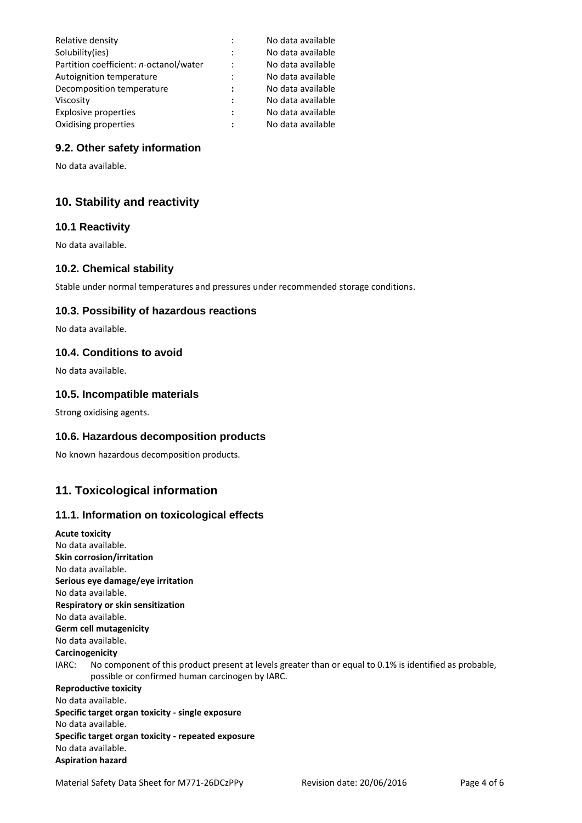| Relative density                       |                      | No data available |
|----------------------------------------|----------------------|-------------------|
| Solubility(ies)                        | $\ddot{\cdot}$       | No data available |
| Partition coefficient: n-octanol/water | $\ddot{\cdot}$       | No data available |
| Autoignition temperature               | $\ddot{\cdot}$       | No data available |
| Decomposition temperature              | :                    | No data available |
| Viscosity                              | $\ddot{\phantom{a}}$ | No data available |
| <b>Explosive properties</b>            | :                    | No data available |
| Oxidising properties                   |                      | No data available |
|                                        |                      |                   |

## **9.2. Other safety information**

No data available.

## **10. Stability and reactivity**

#### **10.1 Reactivity**

No data available.

### **10.2. Chemical stability**

Stable under normal temperatures and pressures under recommended storage conditions.

#### **10.3. Possibility of hazardous reactions**

No data available.

#### **10.4. Conditions to avoid**

No data available.

## **10.5. Incompatible materials**

Strong oxidising agents.

### **10.6. Hazardous decomposition products**

No known hazardous decomposition products.

## **11. Toxicological information**

#### **11.1. Information on toxicological effects**

**Acute toxicity** No data available. **Skin corrosion/irritation** No data available. **Serious eye damage/eye irritation** No data available. **Respiratory or skin sensitization** No data available. **Germ cell mutagenicity** No data available. **Carcinogenicity** IARC: No component of this product present at levels greater than or equal to 0.1% is identified as probable, possible or confirmed human carcinogen by IARC. **Reproductive toxicity** No data available. **Specific target organ toxicity - single exposure** No data available. **Specific target organ toxicity - repeated exposure** No data available. **Aspiration hazard**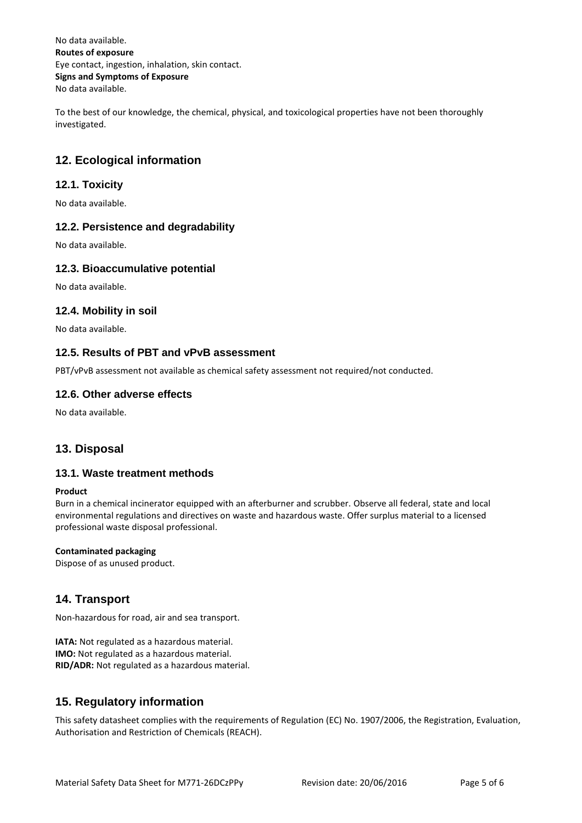No data available. **Routes of exposure** Eye contact, ingestion, inhalation, skin contact. **Signs and Symptoms of Exposure** No data available.

To the best of our knowledge, the chemical, physical, and toxicological properties have not been thoroughly investigated.

## **12. Ecological information**

## **12.1. Toxicity**

No data available.

### **12.2. Persistence and degradability**

No data available.

#### **12.3. Bioaccumulative potential**

No data available.

#### **12.4. Mobility in soil**

No data available.

#### **12.5. Results of PBT and vPvB assessment**

PBT/vPvB assessment not available as chemical safety assessment not required/not conducted.

#### **12.6. Other adverse effects**

No data available.

## **13. Disposal**

### **13.1. Waste treatment methods**

#### **Product**

Burn in a chemical incinerator equipped with an afterburner and scrubber. Observe all federal, state and local environmental regulations and directives on waste and hazardous waste. Offer surplus material to a licensed professional waste disposal professional.

#### **Contaminated packaging**

Dispose of as unused product.

## **14. Transport**

Non-hazardous for road, air and sea transport.

**IATA:** Not regulated as a hazardous material. **IMO:** Not regulated as a hazardous material. **RID/ADR:** Not regulated as a hazardous material.

## **15. Regulatory information**

This safety datasheet complies with the requirements of Regulation (EC) No. 1907/2006, the Registration, Evaluation, Authorisation and Restriction of Chemicals (REACH).